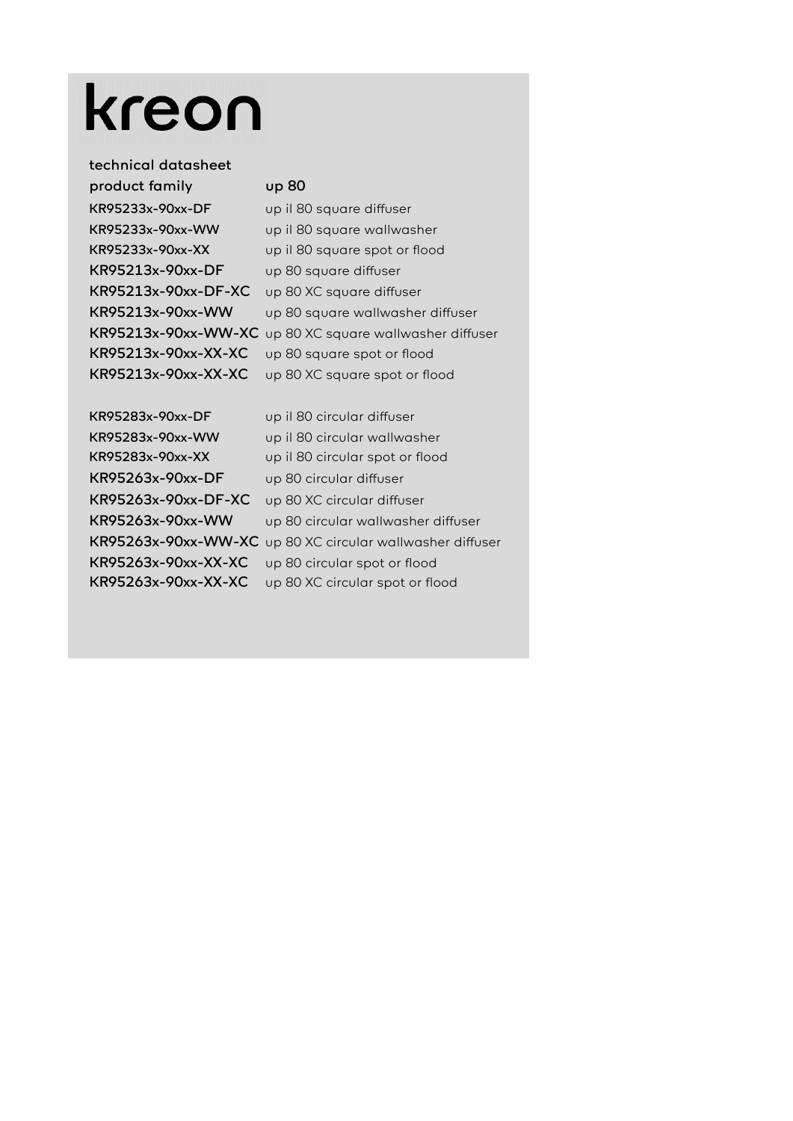## kreon

## technical datasheet product family up 80

KR95233x-90xx-DF up il 80 square diffuser KR95233x-90xx-WW up il 80 square wallwasher KR95233x-90xx-XX up il 80 square spot or flood KR95213x-90xx-DF up 80 square diffuser KR95213x-90xx-DF-XC up 80 XC square diffuser KR95213x-90xx-WW up 80 square wallwasher diffuser KR95213x-90xx-WW-XC up 80 XC square wallwasher diffuser KR95213x-90xx-XX-XC up 80 square spot or flood KR95213x-90xx-XX-XC up 80 XC square spot or flood

KR95283x-90xx-DF up il 80 circular diffuser KR95283x-90xx-WW up il 80 circular wallwasher KR95283x-90xx-XX up il 80 circular spot or flood KR95263x-90xx-DF up 80 circular diffuser KR95263x-90xx-DF-XC up 80 XC circular diffuser KR95263x-90xx-WW up 80 circular wallwasher diffuser KR95263x-90xx-WW-XC up 80 XC circular wallwasher diffuser KR95263x-90xx-XX-XC up 80 circular spot or flood KR95263x-90xx-XX-XC up 80 XC circular spot or flood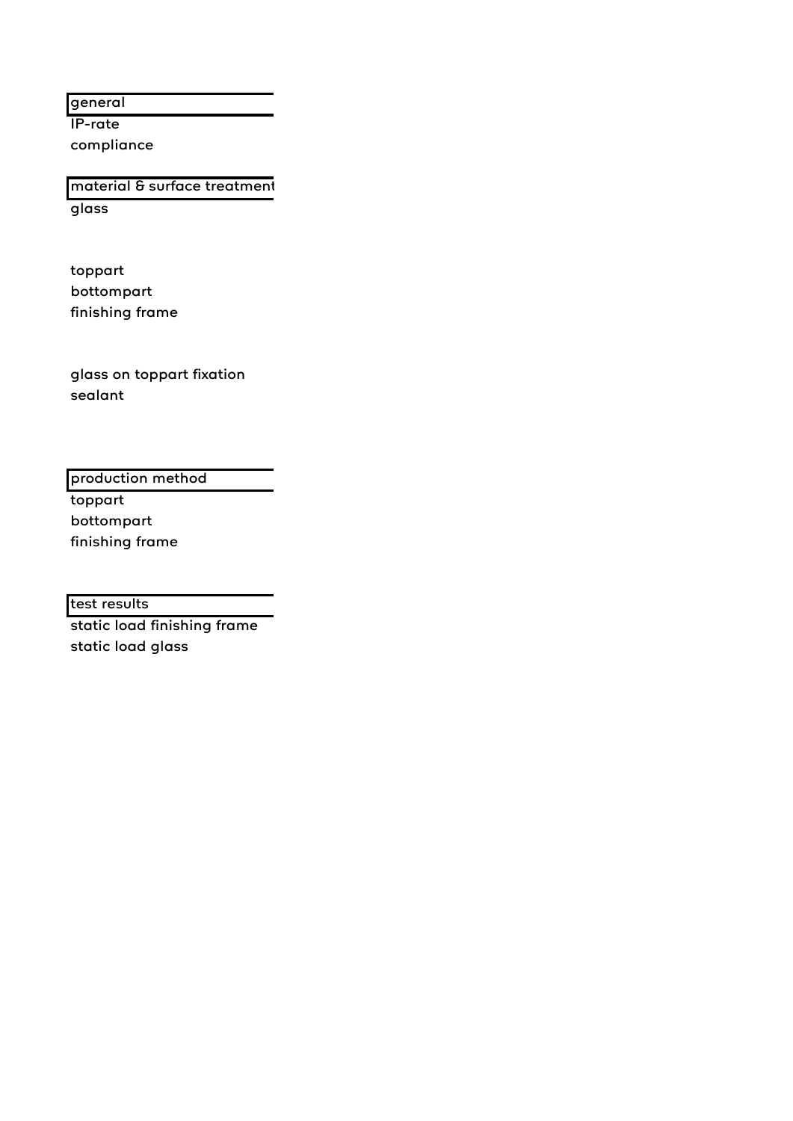general

IP-rate compliance

glass material & surface treatment

toppart bottompart finishing frame

glass on toppart fixation sealant

production method

toppart bottompart finishing frame

test results

static load finishing frame static load glass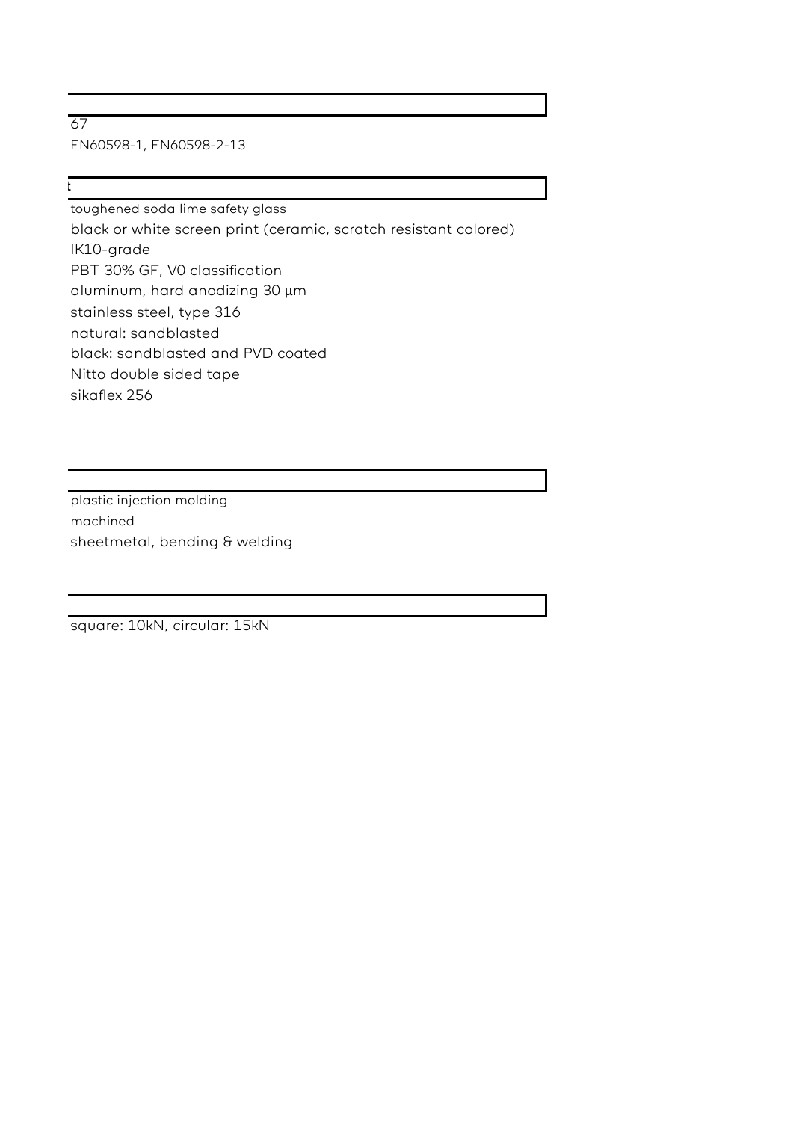67 EN60598-1, EN60598-2-13

ta a shekarar 1

toughened soda lime safety glass black or white screen print (ceramic, scratch resistant colored) IK10-grade PBT 30% GF, V0 classification aluminum, hard anodizing 30 µm stainless steel, type 316 natural: sandblasted black: sandblasted and PVD coated Nitto double sided tape sikaflex 256

plastic injection molding machined sheetmetal, bending & welding

square: 10kN, circular: 15kN